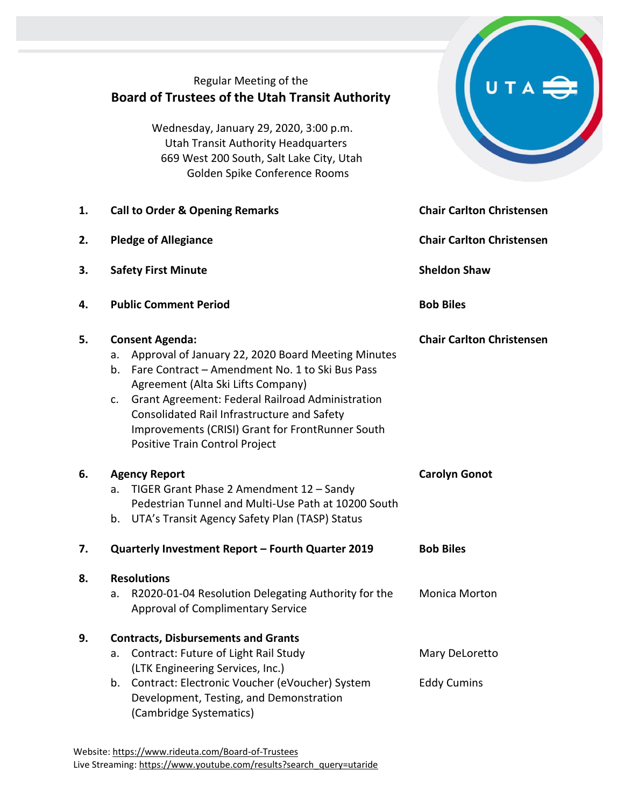## Regular Meeting of the **Board of Trustees of the Utah Transit Authority**

Wednesday, January 29, 2020, 3:00 p.m. Utah Transit Authority Headquarters 669 West 200 South, Salt Lake City, Utah Golden Spike Conference Rooms

|    | 669 West 200 South, Sait Lake City, Utan<br>Golden Spike Conference Rooms                                                                                                                                                                                                                                                                                                            |                                      |
|----|--------------------------------------------------------------------------------------------------------------------------------------------------------------------------------------------------------------------------------------------------------------------------------------------------------------------------------------------------------------------------------------|--------------------------------------|
| 1. | <b>Call to Order &amp; Opening Remarks</b>                                                                                                                                                                                                                                                                                                                                           | <b>Chair Carlton Christensen</b>     |
| 2. | <b>Pledge of Allegiance</b>                                                                                                                                                                                                                                                                                                                                                          | <b>Chair Carlton Christensen</b>     |
| 3. | <b>Safety First Minute</b>                                                                                                                                                                                                                                                                                                                                                           | <b>Sheldon Shaw</b>                  |
| 4. | <b>Public Comment Period</b>                                                                                                                                                                                                                                                                                                                                                         | <b>Bob Biles</b>                     |
| 5. | <b>Consent Agenda:</b><br>Approval of January 22, 2020 Board Meeting Minutes<br>a.<br>b. Fare Contract - Amendment No. 1 to Ski Bus Pass<br>Agreement (Alta Ski Lifts Company)<br><b>Grant Agreement: Federal Railroad Administration</b><br>c.<br>Consolidated Rail Infrastructure and Safety<br>Improvements (CRISI) Grant for FrontRunner South<br>Positive Train Control Project | <b>Chair Carlton Christensen</b>     |
| 6. | <b>Agency Report</b><br>TIGER Grant Phase 2 Amendment 12 - Sandy<br>a.<br>Pedestrian Tunnel and Multi-Use Path at 10200 South<br>b. UTA's Transit Agency Safety Plan (TASP) Status                                                                                                                                                                                                   | <b>Carolyn Gonot</b>                 |
| 7. | Quarterly Investment Report - Fourth Quarter 2019<br><b>Bob Biles</b>                                                                                                                                                                                                                                                                                                                |                                      |
| 8. | <b>Resolutions</b><br>R2020-01-04 Resolution Delegating Authority for the<br>a.<br><b>Approval of Complimentary Service</b>                                                                                                                                                                                                                                                          | <b>Monica Morton</b>                 |
| 9. | <b>Contracts, Disbursements and Grants</b><br>Contract: Future of Light Rail Study<br>a.<br>(LTK Engineering Services, Inc.)<br>Contract: Electronic Voucher (eVoucher) System<br>b.                                                                                                                                                                                                 | Mary DeLoretto<br><b>Eddy Cumins</b> |
|    | Development, Testing, and Demonstration<br>(Cambridge Systematics)                                                                                                                                                                                                                                                                                                                   |                                      |

UTA E